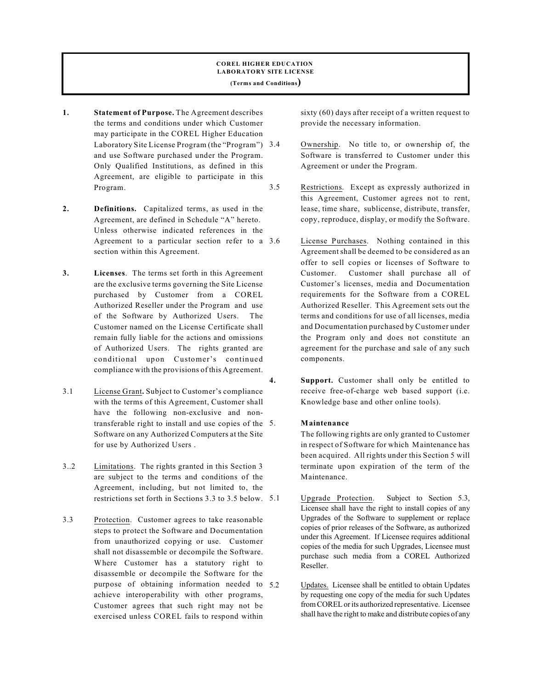### **COREL HIGHER EDUCATION LABORATORY SITE LICENSE (Terms and Conditions)**

- **1. Statement of Purpose.** The Agreement describes the terms and conditions under which Customer may participate in the COREL Higher Education Laboratory Site License Program (the "Program") 3.4 and use Software purchased under the Program. Only Qualified Institutions, as defined in this Agreement, are eligible to participate in this Program.
- **2. Definitions.** Capitalized terms, as used in the Agreement, are defined in Schedule "A" hereto. Unless otherwise indicated references in the Agreement to a particular section refer to a 3.6 section within this Agreement.
- **3. Licenses**. The terms set forth in this Agreement are the exclusive terms governing the Site License purchased by Customer from a COREL Authorized Reseller under the Program and use of the Software by Authorized Users. The Customer named on the License Certificate shall remain fully liable for the actions and omissions of Authorized Users. The rights granted are conditional upon Customer's continued compliance with the provisions of this Agreement.
- 3.1 License Grant**.** Subject to Customer's compliance with the terms of this Agreement, Customer shall have the following non-exclusive and nontransferable right to install and use copies of the Software on any Authorized Computers at the Site for use by Authorized Users .
- 3..2 Limitations. The rights granted in this Section 3 are subject to the terms and conditions of the Agreement, including, but not limited to, the restrictions set forth in Sections 3.3 to 3.5 below.
- 3.3 Protection. Customer agrees to take reasonable steps to protect the Software and Documentation from unauthorized copying or use. Customer shall not disassemble or decompile the Software. Where Customer has a statutory right to disassemble or decompile the Software for the purpose of obtaining information needed to 5.2 achieve interoperability with other programs, Customer agrees that such right may not be exercised unless COREL fails to respond within

sixty (60) days after receipt of a written request to provide the necessary information.

- Ownership. No title to, or ownership of, the Software is transferred to Customer under this Agreement or under the Program.
- 3.5 Restrictions. Except as expressly authorized in this Agreement, Customer agrees not to rent, lease, time share, sublicense, distribute, transfer, copy, reproduce, display, or modify the Software.
	- License Purchases. Nothing contained in this Agreementshall be deemed to be considered as an offer to sell copies or licenses of Software to Customer. Customer shall purchase all of Customer's licenses, media and Documentation requirements for the Software from a COREL Authorized Reseller. This Agreement sets out the terms and conditions for use of all licenses, media and Documentation purchased by Customer under the Program only and does not constitute an agreement for the purchase and sale of any such components.
- **4. Support.** Customer shall only be entitled to receive free-of-charge web based support (i.e. Knowledge base and other online tools).

## 5. **Maintenance**

The following rights are only granted to Customer in respect of Software for which Maintenance has been acquired. All rights under this Section 5 will terminate upon expiration of the term of the Maintenance.

- Upgrade Protection. Subject to Section 5.3, Licensee shall have the right to install copies of any Upgrades of the Software to supplement or replace copies of prior releases of the Software, as authorized under this Agreement. If Licensee requires additional copies of the media for such Upgrades, Licensee must purchase such media from a COREL Authorized Reseller.
- Updates. Licensee shall be entitled to obtain Updates by requesting one copy of the media for such Updates from COREL or its authorized representative. Licensee shall have the right to make and distribute copies of any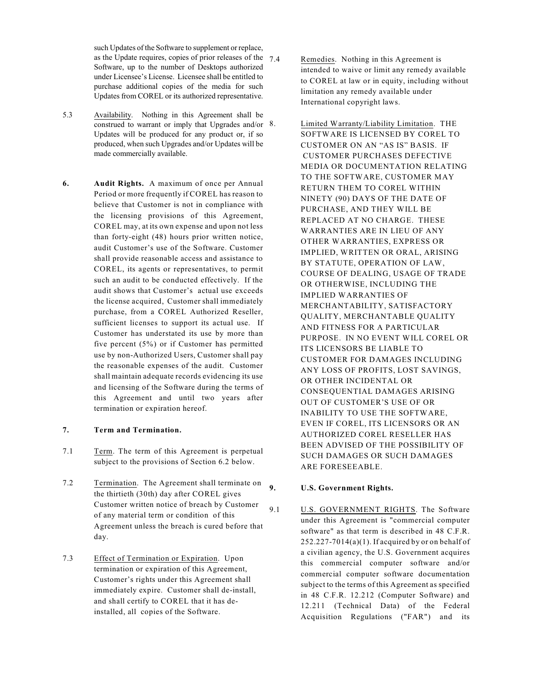such Updates of the Software to supplement or replace, as the Update requires, copies of prior releases of the  $7.4$ Software, up to the number of Desktops authorized under Licensee's License. Licensee shall be entitled to purchase additional copies of the media for such Updates from COREL or its authorized representative.

- 5.3 Availability. Nothing in this Agreement shall be construed to warrant or imply that Upgrades and/or 8. Updates will be produced for any product or, if so produced, when such Upgrades and/or Updates will be made commercially available.
- **6. Audit Rights.** A maximum of once per Annual Period or more frequently if COREL has reason to believe that Customer is not in compliance with the licensing provisions of this Agreement, COREL may, at its own expense and upon not less than forty-eight (48) hours prior written notice, audit Customer's use of the Software. Customer shall provide reasonable access and assistance to COREL, its agents or representatives, to permit such an audit to be conducted effectively. If the audit shows that Customer's actual use exceeds the license acquired, Customer shall immediately purchase, from a COREL Authorized Reseller, sufficient licenses to support its actual use. If Customer has understated its use by more than five percent (5%) or if Customer has permitted use by non-Authorized Users, Customer shall pay the reasonable expenses of the audit. Customer shall maintain adequate records evidencing its use and licensing of the Software during the terms of this Agreement and until two years after termination or expiration hereof.

## **7. Term and Termination.**

- 7.1 Term. The term of this Agreement is perpetual subject to the provisions of Section 6.2 below.
- 7.2 Termination. The Agreement shall terminate on the thirtieth (30th) day after COREL gives Customer written notice of breach by Customer of any material term or condition of this Agreement unless the breach is cured before that day.
- 7.3 Effect of Termination or Expiration. Upon termination or expiration of this Agreement, Customer's rights under this Agreement shall immediately expire. Customer shall de-install, and shall certify to COREL that it has deinstalled, all copies of the Software.
- Remedies. Nothing in this Agreement is intended to waive or limit any remedy available to COREL at law or in equity, including without limitation any remedy available under International copyright laws.
	- 8. Limited Warranty/Liability Limitation. THE SOFTWARE IS LICENSED BY COREL TO CUSTOMER ON AN "AS IS" BASIS. IF CUSTOMER PURCHASES DEFECTIVE MEDIA OR DOCUMENTATION RELATING TO THE SOFTWARE, CUSTOMER MAY RETURN THEM TO COREL WITHIN NINETY (90) DAYS OF THE DATE OF PURCHASE, AND THEY WILL BE REPLACED AT NO CHARGE. THESE WARRANTIES ARE IN LIEU OF ANY OTHER WARRANTIES, EXPRESS OR IMPLIED, WRITTEN OR ORAL, ARISING BY STATUTE, OPERATION OF LAW, COURSE OF DEALING, USAGE OF TRADE OR OTHERWISE, INCLUDING THE IMPLIED WARRANTIES OF MERCHANTABILITY, SATISFACTORY QUALITY, MERCHANTABLE QUALITY AND FITNESS FOR A PARTICULAR PURPOSE. IN NO EVENT WILL COREL OR ITS LICENSORS BE LIABLE TO CUSTOMER FOR DAMAGES INCLUDING ANY LOSS OF PROFITS, LOST SAVINGS, OR OTHER INCIDENTAL OR CONSEQUENTIAL DAMAGES ARISING OUT OF CUSTOMER'S USE OF OR INABILITY TO USE THE SOFTWARE, EVEN IF COREL, ITS LICENSORS OR AN AUTHORIZED COREL RESELLER HAS BEEN ADVISED OF THE POSSIBILITY OF SUCH DAMAGES OR SUCH DAMAGES ARE FORESEEABLE.

# **9. U.S. Government Rights.**

9.1 U.S. GOVERNMENT RIGHTS. The Software under this Agreement is "commercial computer software" as that term is described in 48 C.F.R.  $252.227 - 7014(a)(1)$ . If acquired by or on behalf of a civilian agency, the U.S. Government acquires this commercial computer software and/or commercial computer software documentation subject to the terms of this Agreement as specified in 48 C.F.R. 12.212 (Computer Software) and 12.211 (Technical Data) of the Federal Acquisition Regulations ("FAR") and its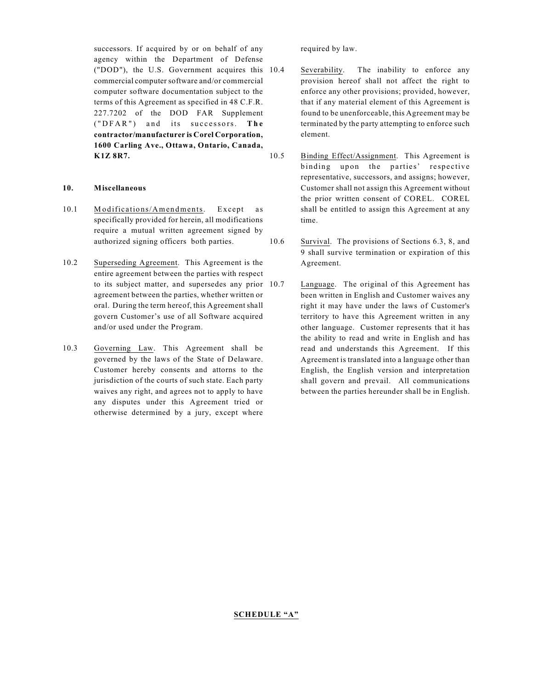successors. If acquired by or on behalf of any agency within the Department of Defense ("DOD"), the U.S. Government acquires this commercial computer software and/or commercial computer software documentation subject to the terms of this Agreement as specified in 48 C.F.R. 227.7202 of the DOD FAR Supplement ( " D F A R " ) a n d its su c c e sso r s. **The contractor/manufacturer is Corel Corporation, 1600 Carling Ave., Ottawa, Ontario, Canada, K1Z 8R7.**

# **10. Miscellaneous**

- 10.1 Modifications/Amendments. Except as specifically provided for herein, all modifications require a mutual written agreement signed by authorized signing officers both parties.
- 10.2 Superseding Agreement. This Agreement is the entire agreement between the parties with respect to its subject matter, and supersedes any prior agreement between the parties, whether written or oral. During the term hereof, this Agreement shall govern Customer's use of all Software acquired and/or used under the Program.
- 10.3 Governing Law. This Agreement shall be governed by the laws of the State of Delaware. Customer hereby consents and attorns to the jurisdiction of the courts of such state. Each party waives any right, and agrees not to apply to have any disputes under this Agreement tried or otherwise determined by a jury, except where

required by law.

- Severability. The inability to enforce any provision hereof shall not affect the right to enforce any other provisions; provided, however, that if any material element of this Agreement is found to be unenforceable, this Agreement may be terminated by the party attempting to enforce such element.
- 10.5 Binding Effect/Assignment. This Agreement is binding upon the parties' respective representative, successors, and assigns; however, Customer shall not assign this Agreement without the prior written consent of COREL. COREL shall be entitled to assign this Agreement at any time.
- 10.6 Survival. The provisions of Sections 6.3, 8, and 9 shall survive termination or expiration of this Agreement.
	- Language. The original of this Agreement has been written in English and Customer waives any right it may have under the laws of Customer's territory to have this Agreement written in any other language. Customer represents that it has the ability to read and write in English and has read and understands this Agreement. If this Agreement is translated into a language other than English, the English version and interpretation shall govern and prevail. All communications between the parties hereunder shall be in English.

## **SCHEDULE "A"**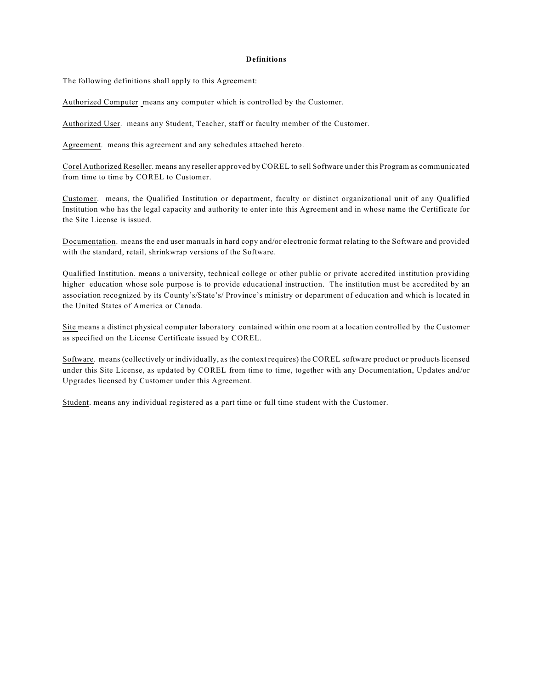#### **Definitions**

The following definitions shall apply to this Agreement:

Authorized Computer means any computer which is controlled by the Customer.

Authorized User. means any Student, Teacher, staff or faculty member of the Customer.

Agreement. means this agreement and any schedules attached hereto.

Corel Authorized Reseller. means any reseller approved by COREL to sell Software under this Program as communicated from time to time by COREL to Customer.

Customer. means, the Qualified Institution or department, faculty or distinct organizational unit of any Qualified Institution who has the legal capacity and authority to enter into this Agreement and in whose name the Certificate for the Site License is issued.

Documentation. means the end user manuals in hard copy and/or electronic format relating to the Software and provided with the standard, retail, shrinkwrap versions of the Software.

Qualified Institution. means a university, technical college or other public or private accredited institution providing higher education whose sole purpose is to provide educational instruction. The institution must be accredited by an association recognized by its County's/State's/ Province's ministry or department of education and which is located in the United States of America or Canada.

Site means a distinct physical computer laboratory contained within one room at a location controlled by the Customer as specified on the License Certificate issued by COREL.

Software. means (collectively or individually, as the context requires) the COREL software product or products licensed under this Site License, as updated by COREL from time to time, together with any Documentation, Updates and/or Upgrades licensed by Customer under this Agreement.

Student. means any individual registered as a part time or full time student with the Customer.